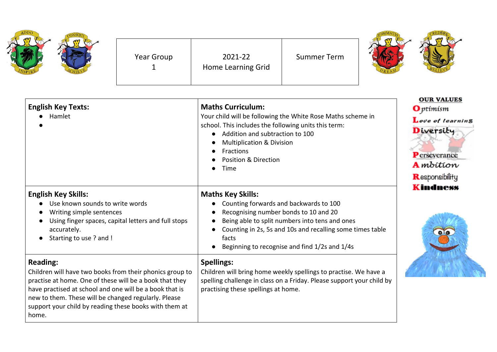<u> 1989 - Johann Barnett, fransk politik (d. 1989)</u>

| <b>English Key Texts:</b><br>Hamlet                                                                                                                                                                                                                                                                                          | <b>Maths Curriculum:</b><br>Your child will be following the White Rose Maths scheme in<br>school. This includes the following units this term:<br>Addition and subtraction to 100<br><b>Multiplication &amp; Division</b><br><b>Fractions</b><br><b>Position &amp; Direction</b><br>Time | <b>OUR VALUES</b><br><b>O</b> ptimism<br>Love of learning<br>Diversity<br><b>P</b> erseverance<br><b>A</b> mbition<br>Responsibility |
|------------------------------------------------------------------------------------------------------------------------------------------------------------------------------------------------------------------------------------------------------------------------------------------------------------------------------|-------------------------------------------------------------------------------------------------------------------------------------------------------------------------------------------------------------------------------------------------------------------------------------------|--------------------------------------------------------------------------------------------------------------------------------------|
| <b>English Key Skills:</b><br>Use known sounds to write words<br>Writing simple sentences<br>$\bullet$<br>Using finger spaces, capital letters and full stops<br>accurately.<br>Starting to use ? and !                                                                                                                      | <b>Maths Key Skills:</b><br>Counting forwards and backwards to 100<br>Recognising number bonds to 10 and 20<br>Being able to split numbers into tens and ones<br>Counting in 2s, 5s and 10s and recalling some times table<br>facts<br>Beginning to recognise and find 1/2s and 1/4s      | <b>Kindness</b><br>$\bullet$                                                                                                         |
| <b>Reading:</b><br>Children will have two books from their phonics group to<br>practise at home. One of these will be a book that they<br>have practised at school and one will be a book that is<br>new to them. These will be changed regularly. Please<br>support your child by reading these books with them at<br>home. | <b>Spellings:</b><br>Children will bring home weekly spellings to practise. We have a<br>spelling challenge in class on a Friday. Please support your child by<br>practising these spellings at home.                                                                                     |                                                                                                                                      |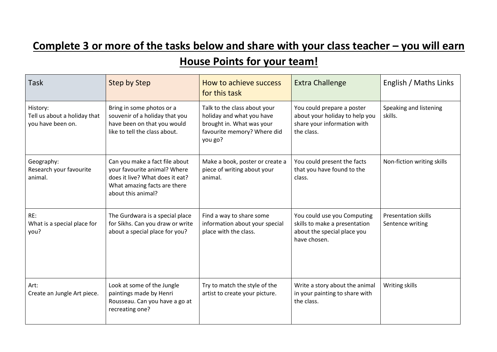## **Complete 3 or more of the tasks below and share with your class teacher - you will earn**

## **House Points for your team!**

| Task                                                          | <b>Step by Step</b>                                                                                                                                     | How to achieve success<br>for this task                                                                                          | <b>Extra Challenge</b>                                                                                      | English / Maths Links                          |
|---------------------------------------------------------------|---------------------------------------------------------------------------------------------------------------------------------------------------------|----------------------------------------------------------------------------------------------------------------------------------|-------------------------------------------------------------------------------------------------------------|------------------------------------------------|
| History:<br>Tell us about a holiday that<br>you have been on. | Bring in some photos or a<br>souvenir of a holiday that you<br>have been on that you would<br>like to tell the class about.                             | Talk to the class about your<br>holiday and what you have<br>brought in. What was your<br>favourite memory? Where did<br>you go? | You could prepare a poster<br>about your holiday to help you<br>share your information with<br>the class.   | Speaking and listening<br>skills.              |
| Geography:<br>Research your favourite<br>animal.              | Can you make a fact file about<br>your favourite animal? Where<br>does it live? What does it eat?<br>What amazing facts are there<br>about this animal? | Make a book, poster or create a<br>piece of writing about your<br>animal.                                                        | You could present the facts<br>that you have found to the<br>class.                                         | Non-fiction writing skills                     |
| RE:<br>What is a special place for<br>you?                    | The Gurdwara is a special place<br>for Sikhs. Can you draw or write<br>about a special place for you?                                                   | Find a way to share some<br>information about your special<br>place with the class.                                              | You could use you Computing<br>skills to make a presentation<br>about the special place you<br>have chosen. | <b>Presentation skills</b><br>Sentence writing |
| Art:<br>Create an Jungle Art piece.                           | Look at some of the Jungle<br>paintings made by Henri<br>Rousseau. Can you have a go at<br>recreating one?                                              | Try to match the style of the<br>artist to create your picture.                                                                  | Write a story about the animal<br>in your painting to share with<br>the class.                              | Writing skills                                 |